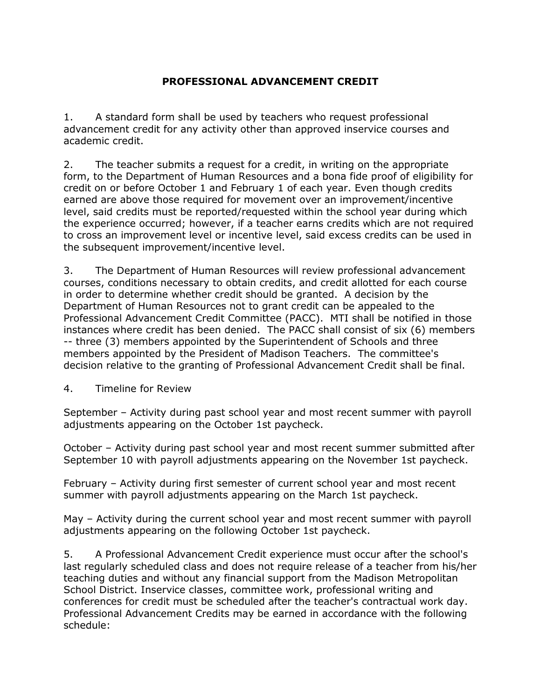# **PROFESSIONAL ADVANCEMENT CREDIT**

1. A standard form shall be used by teachers who request professional advancement credit for any activity other than approved inservice courses and academic credit.

2. The teacher submits a request for a credit, in writing on the appropriate form, to the Department of Human Resources and a bona fide proof of eligibility for credit on or before October 1 and February 1 of each year. Even though credits earned are above those required for movement over an improvement/incentive level, said credits must be reported/requested within the school year during which the experience occurred; however, if a teacher earns credits which are not required to cross an improvement level or incentive level, said excess credits can be used in the subsequent improvement/incentive level.

3. The Department of Human Resources will review professional advancement courses, conditions necessary to obtain credits, and credit allotted for each course in order to determine whether credit should be granted. A decision by the Department of Human Resources not to grant credit can be appealed to the Professional Advancement Credit Committee (PACC). MTI shall be notified in those instances where credit has been denied. The PACC shall consist of six (6) members -- three (3) members appointed by the Superintendent of Schools and three members appointed by the President of Madison Teachers. The committee's decision relative to the granting of Professional Advancement Credit shall be final.

4. Timeline for Review

September – Activity during past school year and most recent summer with payroll adjustments appearing on the October 1st paycheck.

October – Activity during past school year and most recent summer submitted after September 10 with payroll adjustments appearing on the November 1st paycheck.

February – Activity during first semester of current school year and most recent summer with payroll adjustments appearing on the March 1st paycheck.

May – Activity during the current school year and most recent summer with payroll adjustments appearing on the following October 1st paycheck.

5. A Professional Advancement Credit experience must occur after the school's last regularly scheduled class and does not require release of a teacher from his/her teaching duties and without any financial support from the Madison Metropolitan School District. Inservice classes, committee work, professional writing and conferences for credit must be scheduled after the teacher's contractual work day. Professional Advancement Credits may be earned in accordance with the following schedule: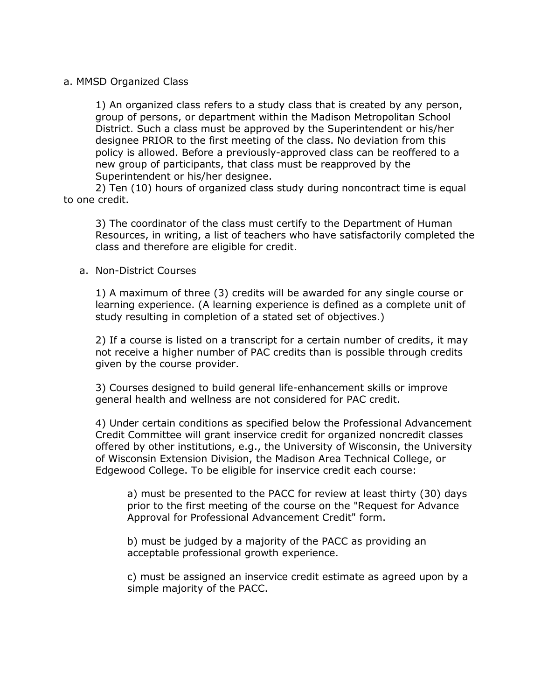## a. MMSD Organized Class

1) An organized class refers to a study class that is created by any person, group of persons, or department within the Madison Metropolitan School District. Such a class must be approved by the Superintendent or his/her designee PRIOR to the first meeting of the class. No deviation from this policy is allowed. Before a previously-approved class can be reoffered to a new group of participants, that class must be reapproved by the Superintendent or his/her designee.

2) Ten (10) hours of organized class study during noncontract time is equal to one credit.

3) The coordinator of the class must certify to the Department of Human Resources, in writing, a list of teachers who have satisfactorily completed the class and therefore are eligible for credit.

#### a. Non-District Courses

1) A maximum of three (3) credits will be awarded for any single course or learning experience. (A learning experience is defined as a complete unit of study resulting in completion of a stated set of objectives.)

2) If a course is listed on a transcript for a certain number of credits, it may not receive a higher number of PAC credits than is possible through credits given by the course provider.

3) Courses designed to build general life-enhancement skills or improve general health and wellness are not considered for PAC credit.

4) Under certain conditions as specified below the Professional Advancement Credit Committee will grant inservice credit for organized noncredit classes offered by other institutions, e.g., the University of Wisconsin, the University of Wisconsin Extension Division, the Madison Area Technical College, or Edgewood College. To be eligible for inservice credit each course:

a) must be presented to the PACC for review at least thirty (30) days prior to the first meeting of the course on the "Request for Advance Approval for Professional Advancement Credit" form.

b) must be judged by a majority of the PACC as providing an acceptable professional growth experience.

c) must be assigned an inservice credit estimate as agreed upon by a simple majority of the PACC.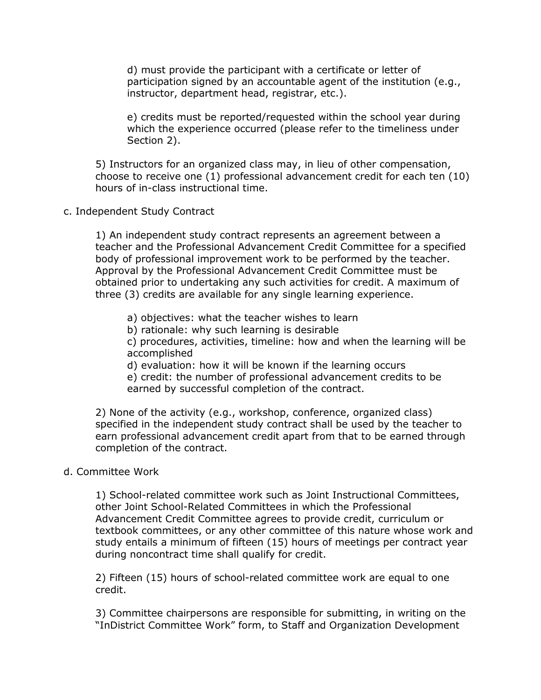d) must provide the participant with a certificate or letter of participation signed by an accountable agent of the institution (e.g., instructor, department head, registrar, etc.).

e) credits must be reported/requested within the school year during which the experience occurred (please refer to the timeliness under Section 2).

5) Instructors for an organized class may, in lieu of other compensation, choose to receive one (1) professional advancement credit for each ten (10) hours of in-class instructional time.

c. Independent Study Contract

1) An independent study contract represents an agreement between a teacher and the Professional Advancement Credit Committee for a specified body of professional improvement work to be performed by the teacher. Approval by the Professional Advancement Credit Committee must be obtained prior to undertaking any such activities for credit. A maximum of three (3) credits are available for any single learning experience.

- a) objectives: what the teacher wishes to learn
- b) rationale: why such learning is desirable

c) procedures, activities, timeline: how and when the learning will be accomplished

d) evaluation: how it will be known if the learning occurs

e) credit: the number of professional advancement credits to be earned by successful completion of the contract.

2) None of the activity (e.g., workshop, conference, organized class) specified in the independent study contract shall be used by the teacher to earn professional advancement credit apart from that to be earned through completion of the contract.

# d. Committee Work

1) School-related committee work such as Joint Instructional Committees, other Joint School-Related Committees in which the Professional Advancement Credit Committee agrees to provide credit, curriculum or textbook committees, or any other committee of this nature whose work and study entails a minimum of fifteen (15) hours of meetings per contract year during noncontract time shall qualify for credit.

2) Fifteen (15) hours of school-related committee work are equal to one credit.

3) Committee chairpersons are responsible for submitting, in writing on the "InDistrict Committee Work" form, to Staff and Organization Development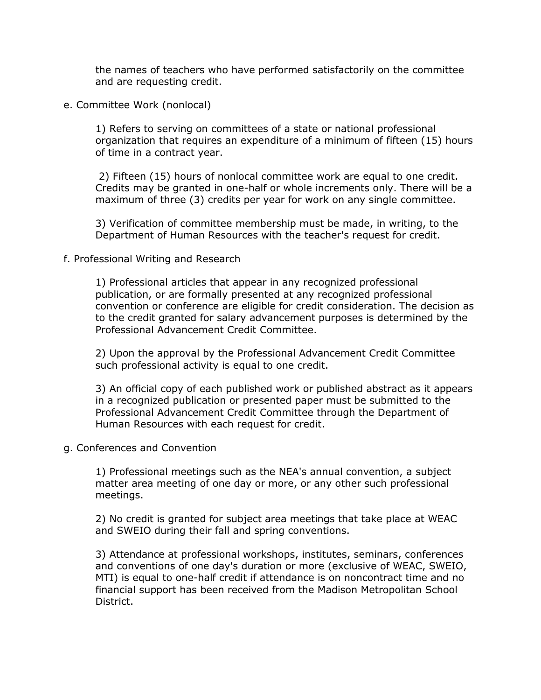the names of teachers who have performed satisfactorily on the committee and are requesting credit.

e. Committee Work (nonlocal)

1) Refers to serving on committees of a state or national professional organization that requires an expenditure of a minimum of fifteen (15) hours of time in a contract year.

2) Fifteen (15) hours of nonlocal committee work are equal to one credit. Credits may be granted in one-half or whole increments only. There will be a maximum of three (3) credits per year for work on any single committee.

3) Verification of committee membership must be made, in writing, to the Department of Human Resources with the teacher's request for credit.

## f. Professional Writing and Research

1) Professional articles that appear in any recognized professional publication, or are formally presented at any recognized professional convention or conference are eligible for credit consideration. The decision as to the credit granted for salary advancement purposes is determined by the Professional Advancement Credit Committee.

2) Upon the approval by the Professional Advancement Credit Committee such professional activity is equal to one credit.

3) An official copy of each published work or published abstract as it appears in a recognized publication or presented paper must be submitted to the Professional Advancement Credit Committee through the Department of Human Resources with each request for credit.

g. Conferences and Convention

1) Professional meetings such as the NEA's annual convention, a subject matter area meeting of one day or more, or any other such professional meetings.

2) No credit is granted for subject area meetings that take place at WEAC and SWEIO during their fall and spring conventions.

3) Attendance at professional workshops, institutes, seminars, conferences and conventions of one day's duration or more (exclusive of WEAC, SWEIO, MTI) is equal to one-half credit if attendance is on noncontract time and no financial support has been received from the Madison Metropolitan School District.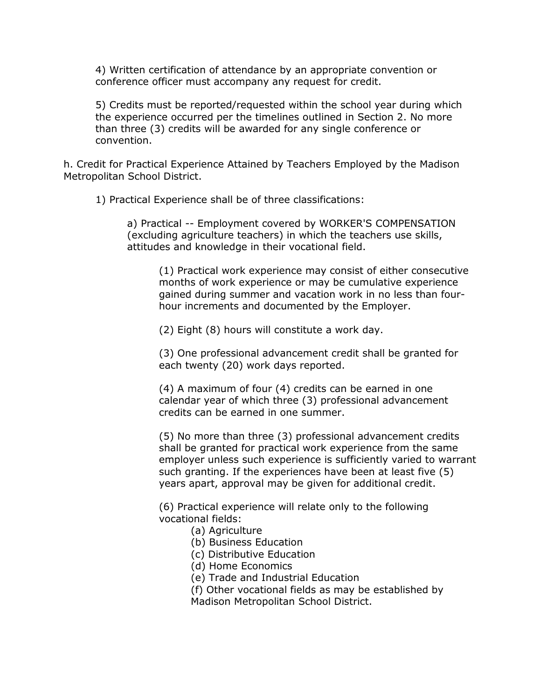4) Written certification of attendance by an appropriate convention or conference officer must accompany any request for credit.

5) Credits must be reported/requested within the school year during which the experience occurred per the timelines outlined in Section 2. No more than three (3) credits will be awarded for any single conference or convention.

h. Credit for Practical Experience Attained by Teachers Employed by the Madison Metropolitan School District.

1) Practical Experience shall be of three classifications:

a) Practical -- Employment covered by WORKER'S COMPENSATION (excluding agriculture teachers) in which the teachers use skills, attitudes and knowledge in their vocational field.

(1) Practical work experience may consist of either consecutive months of work experience or may be cumulative experience gained during summer and vacation work in no less than fourhour increments and documented by the Employer.

(2) Eight (8) hours will constitute a work day.

(3) One professional advancement credit shall be granted for each twenty (20) work days reported.

(4) A maximum of four (4) credits can be earned in one calendar year of which three (3) professional advancement credits can be earned in one summer.

(5) No more than three (3) professional advancement credits shall be granted for practical work experience from the same employer unless such experience is sufficiently varied to warrant such granting. If the experiences have been at least five (5) years apart, approval may be given for additional credit.

(6) Practical experience will relate only to the following vocational fields:

- (a) Agriculture
- (b) Business Education
- (c) Distributive Education
- (d) Home Economics
- (e) Trade and Industrial Education
- (f) Other vocational fields as may be established by

Madison Metropolitan School District.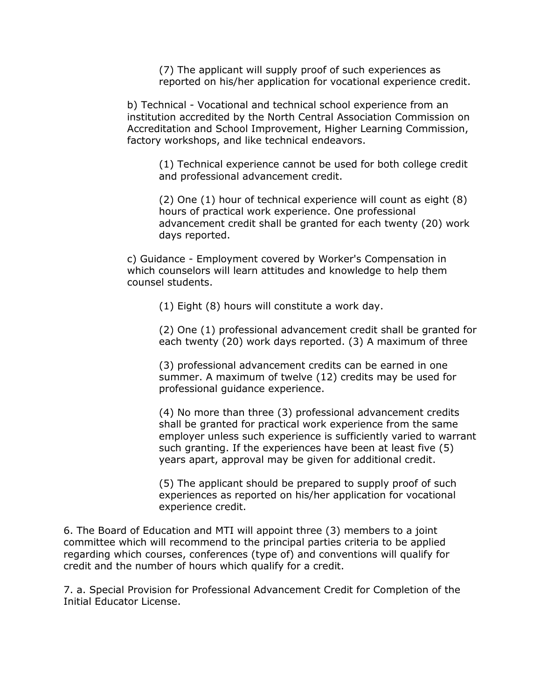(7) The applicant will supply proof of such experiences as reported on his/her application for vocational experience credit.

b) Technical - Vocational and technical school experience from an institution accredited by the North Central Association Commission on Accreditation and School Improvement, Higher Learning Commission, factory workshops, and like technical endeavors.

(1) Technical experience cannot be used for both college credit and professional advancement credit.

(2) One (1) hour of technical experience will count as eight (8) hours of practical work experience. One professional advancement credit shall be granted for each twenty (20) work days reported.

c) Guidance - Employment covered by Worker's Compensation in which counselors will learn attitudes and knowledge to help them counsel students.

(1) Eight (8) hours will constitute a work day.

(2) One (1) professional advancement credit shall be granted for each twenty (20) work days reported. (3) A maximum of three

(3) professional advancement credits can be earned in one summer. A maximum of twelve (12) credits may be used for professional guidance experience.

(4) No more than three (3) professional advancement credits shall be granted for practical work experience from the same employer unless such experience is sufficiently varied to warrant such granting. If the experiences have been at least five (5) years apart, approval may be given for additional credit.

(5) The applicant should be prepared to supply proof of such experiences as reported on his/her application for vocational experience credit.

6. The Board of Education and MTI will appoint three (3) members to a joint committee which will recommend to the principal parties criteria to be applied regarding which courses, conferences (type of) and conventions will qualify for credit and the number of hours which qualify for a credit.

7. a. Special Provision for Professional Advancement Credit for Completion of the Initial Educator License.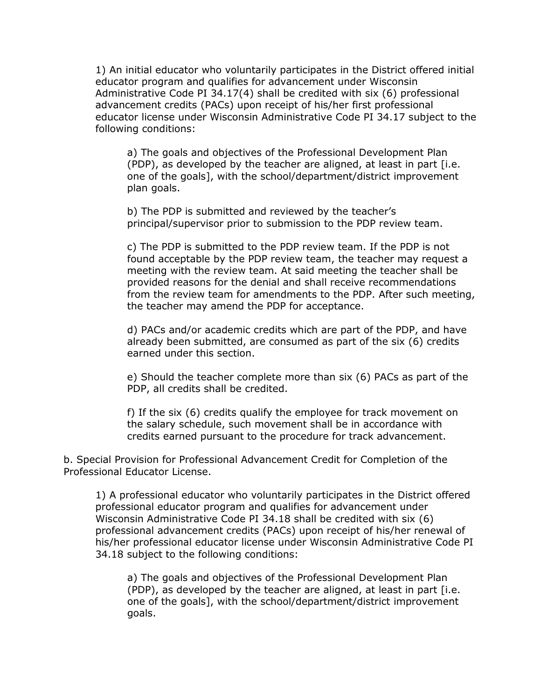1) An initial educator who voluntarily participates in the District offered initial educator program and qualifies for advancement under Wisconsin Administrative Code PI 34.17(4) shall be credited with six (6) professional advancement credits (PACs) upon receipt of his/her first professional educator license under Wisconsin Administrative Code PI 34.17 subject to the following conditions:

a) The goals and objectives of the Professional Development Plan (PDP), as developed by the teacher are aligned, at least in part [i.e. one of the goals], with the school/department/district improvement plan goals.

b) The PDP is submitted and reviewed by the teacher's principal/supervisor prior to submission to the PDP review team.

c) The PDP is submitted to the PDP review team. If the PDP is not found acceptable by the PDP review team, the teacher may request a meeting with the review team. At said meeting the teacher shall be provided reasons for the denial and shall receive recommendations from the review team for amendments to the PDP. After such meeting, the teacher may amend the PDP for acceptance.

d) PACs and/or academic credits which are part of the PDP, and have already been submitted, are consumed as part of the six (6) credits earned under this section.

e) Should the teacher complete more than six (6) PACs as part of the PDP, all credits shall be credited.

f) If the six (6) credits qualify the employee for track movement on the salary schedule, such movement shall be in accordance with credits earned pursuant to the procedure for track advancement.

b. Special Provision for Professional Advancement Credit for Completion of the Professional Educator License.

1) A professional educator who voluntarily participates in the District offered professional educator program and qualifies for advancement under Wisconsin Administrative Code PI 34.18 shall be credited with six (6) professional advancement credits (PACs) upon receipt of his/her renewal of his/her professional educator license under Wisconsin Administrative Code PI 34.18 subject to the following conditions:

a) The goals and objectives of the Professional Development Plan (PDP), as developed by the teacher are aligned, at least in part [i.e. one of the goals], with the school/department/district improvement goals.